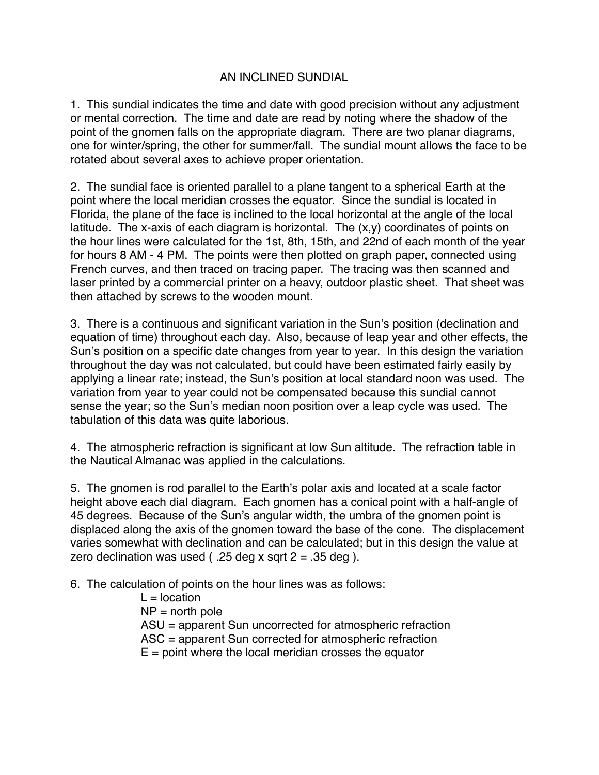## AN INCLINED SUNDIAL

1. This sundial indicates the time and date with good precision without any adjustment or mental correction. The time and date are read by noting where the shadow of the point of the gnomen falls on the appropriate diagram. There are two planar diagrams, one for winter/spring, the other for summer/fall. The sundial mount allows the face to be rotated about several axes to achieve proper orientation.

2. The sundial face is oriented parallel to a plane tangent to a spherical Earth at the point where the local meridian crosses the equator. Since the sundial is located in Florida, the plane of the face is inclined to the local horizontal at the angle of the local latitude. The x-axis of each diagram is horizontal. The  $(x,y)$  coordinates of points on the hour lines were calculated for the 1st, 8th, 15th, and 22nd of each month of the year for hours 8 AM - 4 PM. The points were then plotted on graph paper, connected using French curves, and then traced on tracing paper. The tracing was then scanned and laser printed by a commercial printer on a heavy, outdoor plastic sheet. That sheet was then attached by screws to the wooden mount.

3. There is a continuous and significant variation in the Sun's position (declination and equation of time) throughout each day. Also, because of leap year and other effects, the Sun's position on a specific date changes from year to year. In this design the variation throughout the day was not calculated, but could have been estimated fairly easily by applying a linear rate; instead, the Sun's position at local standard noon was used. The variation from year to year could not be compensated because this sundial cannot sense the year; so the Sun's median noon position over a leap cycle was used. The tabulation of this data was quite laborious.

4. The atmospheric refraction is significant at low Sun altitude. The refraction table in the Nautical Almanac was applied in the calculations.

5. The gnomen is rod parallel to the Earth's polar axis and located at a scale factor height above each dial diagram. Each gnomen has a conical point with a half-angle of 45 degrees. Because of the Sun's angular width, the umbra of the gnomen point is displaced along the axis of the gnomen toward the base of the cone. The displacement varies somewhat with declination and can be calculated; but in this design the value at zero declination was used ( $.25$  deg x sqrt  $2 = .35$  deg ).

6. The calculation of points on the hour lines was as follows:

 $L =$  location  $NP = north pole$ ASU = apparent Sun uncorrected for atmospheric refraction ASC = apparent Sun corrected for atmospheric refraction  $E =$  point where the local meridian crosses the equator